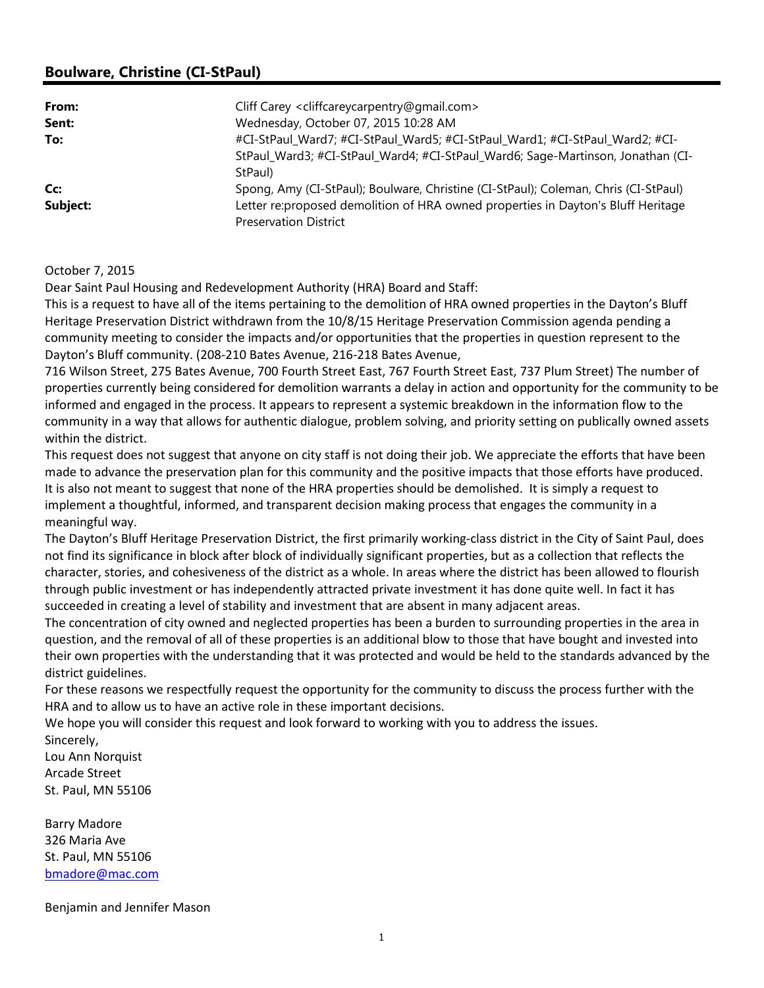## Boulware, Christine (CI-StPaul)

| From:    | Cliff Carey <cliffcareycarpentry@gmail.com></cliffcareycarpentry@gmail.com>         |
|----------|-------------------------------------------------------------------------------------|
| Sent:    | Wednesday, October 07, 2015 10:28 AM                                                |
| To:      | #CI-StPaul_Ward7; #CI-StPaul_Ward5; #CI-StPaul_Ward1; #CI-StPaul_Ward2; #CI-        |
|          | StPaul_Ward3; #CI-StPaul_Ward4; #CI-StPaul_Ward6; Sage-Martinson, Jonathan (CI-     |
|          | StPaul)                                                                             |
| Cc:      | Spong, Amy (CI-StPaul); Boulware, Christine (CI-StPaul); Coleman, Chris (CI-StPaul) |
| Subject: | Letter re: proposed demolition of HRA owned properties in Dayton's Bluff Heritage   |
|          | <b>Preservation District</b>                                                        |

## October 7, 2015

Dear Saint Paul Housing and Redevelopment Authority (HRA) Board and Staff:

This is a request to have all of the items pertaining to the demolition of HRA owned properties in the Dayton's Bluff Heritage Preservation District withdrawn from the 10/8/15 Heritage Preservation Commission agenda pending a community meeting to consider the impacts and/or opportunities that the properties in question represent to the Dayton's Bluff community. (208-210 Bates Avenue, 216-218 Bates Avenue,

716 Wilson Street, 275 Bates Avenue, 700 Fourth Street East, 767 Fourth Street East, 737 Plum Street) The number of properties currently being considered for demolition warrants a delay in action and opportunity for the community to be informed and engaged in the process. It appears to represent a systemic breakdown in the information flow to the community in a way that allows for authentic dialogue, problem solving, and priority setting on publically owned assets within the district.

This request does not suggest that anyone on city staff is not doing their job. We appreciate the efforts that have been made to advance the preservation plan for this community and the positive impacts that those efforts have produced. It is also not meant to suggest that none of the HRA properties should be demolished. It is simply a request to implement a thoughtful, informed, and transparent decision making process that engages the community in a meaningful way.

The Dayton's Bluff Heritage Preservation District, the first primarily working-class district in the City of Saint Paul, does not find its significance in block after block of individually significant properties, but as a collection that reflects the character, stories, and cohesiveness of the district as a whole. In areas where the district has been allowed to flourish through public investment or has independently attracted private investment it has done quite well. In fact it has succeeded in creating a level of stability and investment that are absent in many adjacent areas.

The concentration of city owned and neglected properties has been a burden to surrounding properties in the area in question, and the removal of all of these properties is an additional blow to those that have bought and invested into their own properties with the understanding that it was protected and would be held to the standards advanced by the district guidelines.

For these reasons we respectfully request the opportunity for the community to discuss the process further with the HRA and to allow us to have an active role in these important decisions.

We hope you will consider this request and look forward to working with you to address the issues.

Sincerely, Lou Ann Norquist Arcade Street St. Paul, MN 55106

Barry Madore 326 Maria Ave St. Paul, MN 55106 bmadore@mac.com

Benjamin and Jennifer Mason